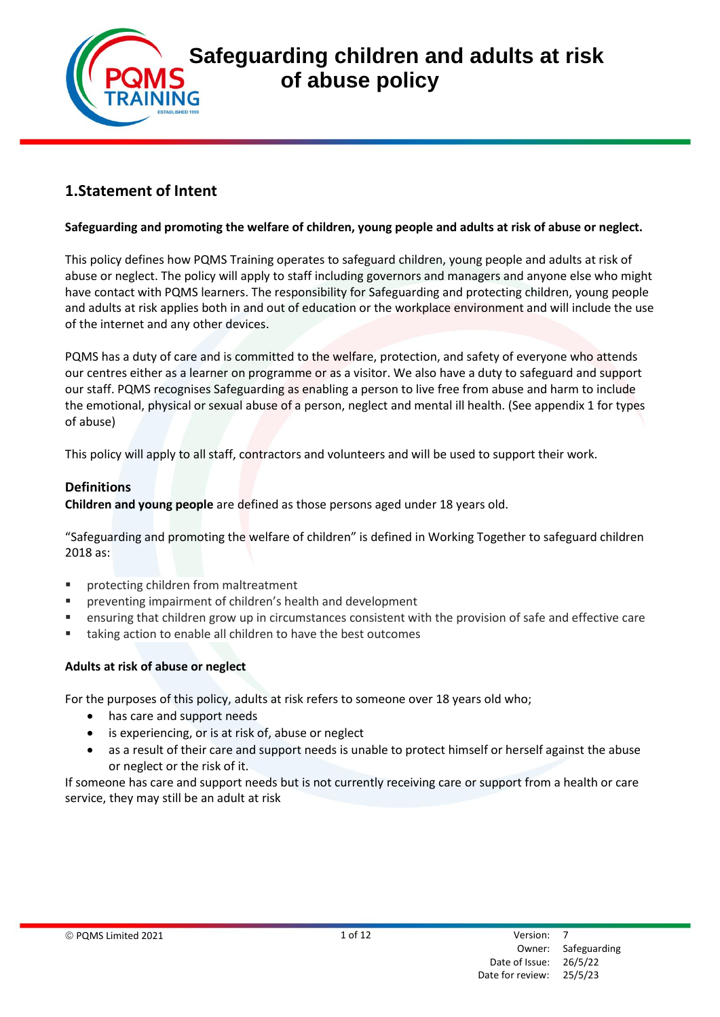

# **1.Statement of Intent**

#### **Safeguarding and promoting the welfare of children, young people and adults at risk of abuse or neglect.**

This policy defines how PQMS Training operates to safeguard children, young people and adults at risk of abuse or neglect. The policy will apply to staff including governors and managers and anyone else who might have contact with PQMS learners. The responsibility for Safeguarding and protecting children, young people and adults at risk applies both in and out of education or the workplace environment and will include the use of the internet and any other devices.

PQMS has a duty of care and is committed to the welfare, protection, and safety of everyone who attends our centres either as a learner on programme or as a visitor. We also have a duty to safeguard and support our staff. PQMS recognises Safeguarding as enabling a person to live free from abuse and harm to include the emotional, physical or sexual abuse of a person, neglect and mental ill health. (See appendix 1 for types of abuse)

This policy will apply to all staff, contractors and volunteers and will be used to support their work.

#### **Definitions**

**Children and young people** are defined as those persons aged under 18 years old.

"Safeguarding and promoting the welfare of children" is defined in Working Together to safeguard children 2018 as:

- protecting children from maltreatment
- preventing impairment of children's health and development
- ensuring that children grow up in circumstances consistent with the provision of safe and effective care
- taking action to enable all children to have the best outcomes

## **Adults at risk of abuse or neglect**

For the purposes of this policy, adults at risk refers to someone over 18 years old who;

- has care and support needs
- is experiencing, or is at risk of, abuse or neglect
- as a result of their care and support needs is unable to protect himself or herself against the abuse or neglect or the risk of it.

If someone has care and support needs but is not currently receiving care or support from a health or care service, they may still be an adult at risk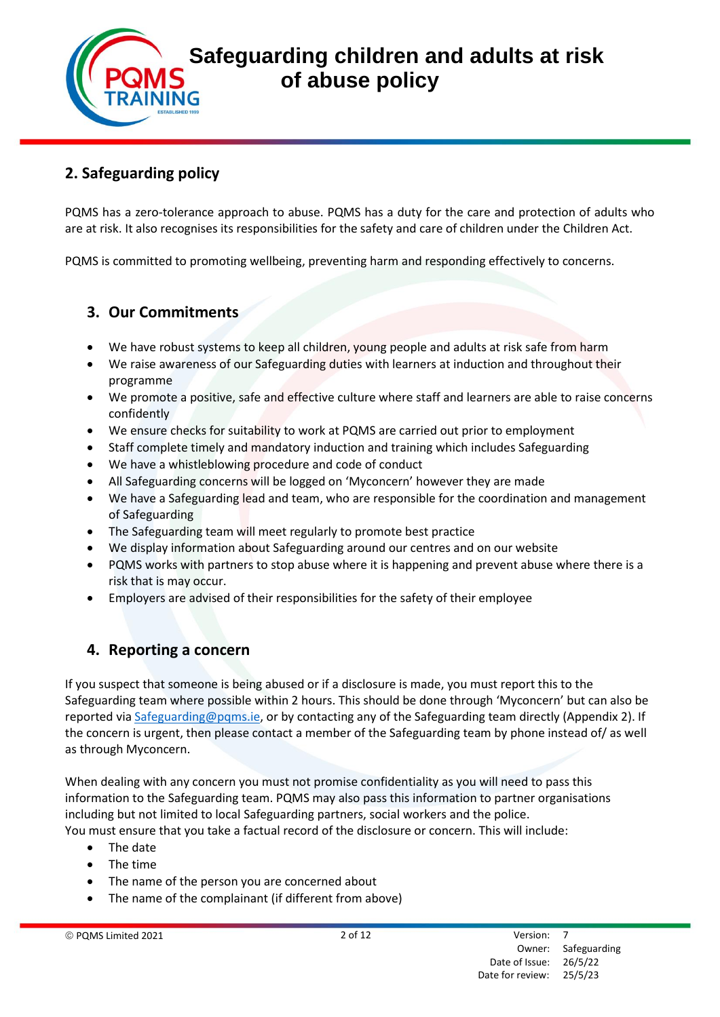# **2. Safeguarding policy**

PQMS has a zero-tolerance approach to abuse. PQMS has a duty for the care and protection of adults who are at risk. It also recognises its responsibilities for the safety and care of children under the Children Act.

PQMS is committed to promoting wellbeing, preventing harm and responding effectively to concerns.

# **3. Our Commitments**

- We have robust systems to keep all children, young people and adults at risk safe from harm
- We raise awareness of our Safeguarding duties with learners at induction and throughout their programme
- We promote a positive, safe and effective culture where staff and learners are able to raise concerns confidently
- We ensure checks for suitability to work at PQMS are carried out prior to employment
- Staff complete timely and mandatory induction and training which includes Safeguarding
- We have a whistleblowing procedure and code of conduct
- All Safeguarding concerns will be logged on 'Myconcern' however they are made
- We have a Safeguarding lead and team, who are responsible for the coordination and management of Safeguarding
- The Safeguarding team will meet regularly to promote best practice
- We display information about Safeguarding around our centres and on our website
- PQMS works with partners to stop abuse where it is happening and prevent abuse where there is a risk that is may occur.
- Employers are advised of their responsibilities for the safety of their employee

# **4. Reporting a concern**

If you suspect that someone is being abused or if a disclosure is made, you must report this to the Safeguarding team where possible within 2 hours. This should be done through 'Myconcern' but can also be reported via [Safeguarding@pqms.ie,](mailto:safeguarding@pqms.ie) or by contacting any of the Safeguarding team directly (Appendix 2). If the concern is urgent, then please contact a member of the Safeguarding team by phone instead of/ as well as through Myconcern.

When dealing with any concern you must not promise confidentiality as you will need to pass this information to the Safeguarding team. PQMS may also pass this information to partner organisations including but not limited to local Safeguarding partners, social workers and the police.

You must ensure that you take a factual record of the disclosure or concern. This will include:

- The date
- The time
- The name of the person you are concerned about
- The name of the complainant (if different from above)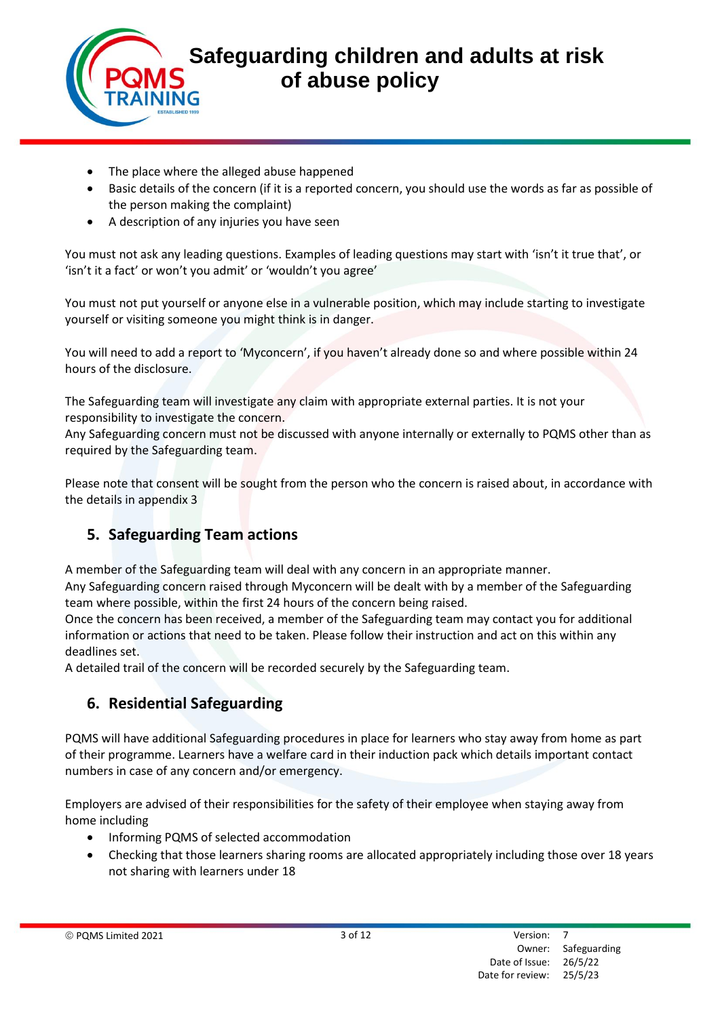- The place where the alleged abuse happened
- Basic details of the concern (if it is a reported concern, you should use the words as far as possible of the person making the complaint)
- A description of any injuries you have seen

You must not ask any leading questions. Examples of leading questions may start with 'isn't it true that', or 'isn't it a fact' or won't you admit' or 'wouldn't you agree'

You must not put yourself or anyone else in a vulnerable position, which may include starting to investigate yourself or visiting someone you might think is in danger.

You will need to add a report to 'Myconcern', if you haven't already done so and where possible within 24 hours of the disclosure.

The Safeguarding team will investigate any claim with appropriate external parties. It is not your responsibility to investigate the concern.

Any Safeguarding concern must not be discussed with anyone internally or externally to PQMS other than as required by the Safeguarding team.

Please note that consent will be sought from the person who the concern is raised about, in accordance with the details in appendix 3

# **5. Safeguarding Team actions**

A member of the Safeguarding team will deal with any concern in an appropriate manner.

Any Safeguarding concern raised through Myconcern will be dealt with by a member of the Safeguarding team where possible, within the first 24 hours of the concern being raised.

Once the concern has been received, a member of the Safeguarding team may contact you for additional information or actions that need to be taken. Please follow their instruction and act on this within any deadlines set.

A detailed trail of the concern will be recorded securely by the Safeguarding team.

# **6. Residential Safeguarding**

PQMS will have additional Safeguarding procedures in place for learners who stay away from home as part of their programme. Learners have a welfare card in their induction pack which details important contact numbers in case of any concern and/or emergency.

Employers are advised of their responsibilities for the safety of their employee when staying away from home including

- Informing PQMS of selected accommodation
- Checking that those learners sharing rooms are allocated appropriately including those over 18 years not sharing with learners under 18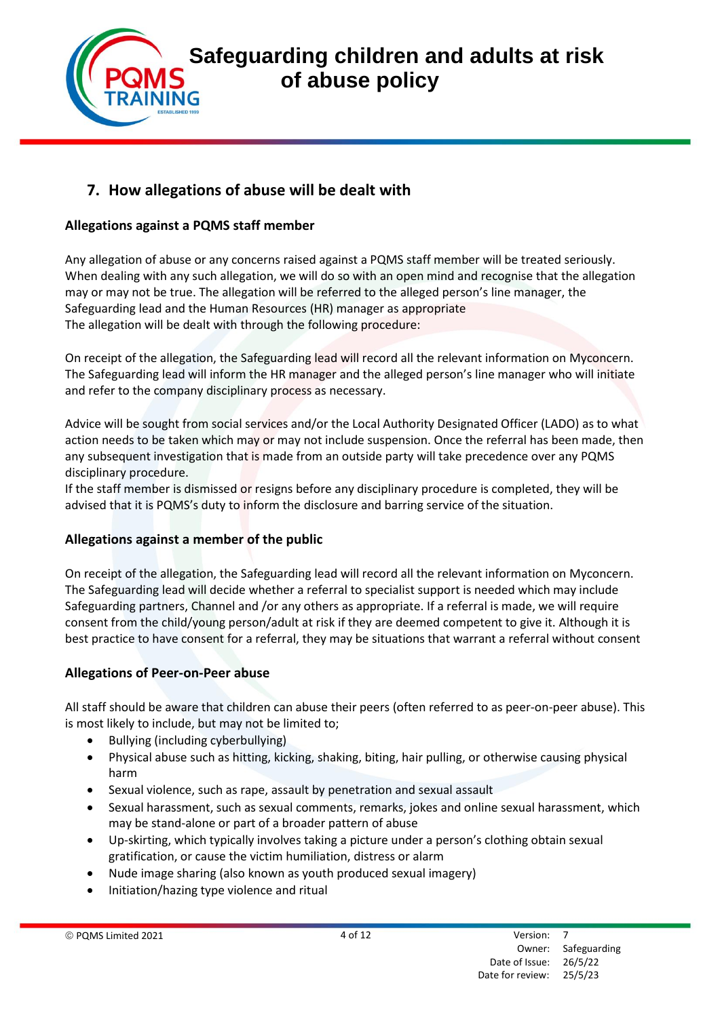# **7. How allegations of abuse will be dealt with**

# **Allegations against a PQMS staff member**

Any allegation of abuse or any concerns raised against a PQMS staff member will be treated seriously. When dealing with any such allegation, we will do so with an open mind and recognise that the allegation may or may not be true. The allegation will be referred to the alleged person's line manager, the Safeguarding lead and the Human Resources (HR) manager as appropriate The allegation will be dealt with through the following procedure:

On receipt of the allegation, the Safeguarding lead will record all the relevant information on Myconcern. The Safeguarding lead will inform the HR manager and the alleged person's line manager who will initiate and refer to the company disciplinary process as necessary.

Advice will be sought from social services and/or the Local Authority Designated Officer (LADO) as to what action needs to be taken which may or may not include suspension. Once the referral has been made, then any subsequent investigation that is made from an outside party will take precedence over any PQMS disciplinary procedure.

If the staff member is dismissed or resigns before any disciplinary procedure is completed, they will be advised that it is PQMS's duty to inform the disclosure and barring service of the situation.

## **Allegations against a member of the public**

On receipt of the allegation, the Safeguarding lead will record all the relevant information on Myconcern. The Safeguarding lead will decide whether a referral to specialist support is needed which may include Safeguarding partners, Channel and /or any others as appropriate. If a referral is made, we will require consent from the child/young person/adult at risk if they are deemed competent to give it. Although it is best practice to have consent for a referral, they may be situations that warrant a referral without consent

## **Allegations of Peer-on-Peer abuse**

All staff should be aware that children can abuse their peers (often referred to as peer-on-peer abuse). This is most likely to include, but may not be limited to;

- Bullying (including cyberbullying)
- Physical abuse such as hitting, kicking, shaking, biting, hair pulling, or otherwise causing physical harm
- Sexual violence, such as rape, assault by penetration and sexual assault
- Sexual harassment, such as sexual comments, remarks, jokes and online sexual harassment, which may be stand-alone or part of a broader pattern of abuse
- Up-skirting, which typically involves taking a picture under a person's clothing obtain sexual gratification, or cause the victim humiliation, distress or alarm
- Nude image sharing (also known as youth produced sexual imagery)
- Initiation/hazing type violence and ritual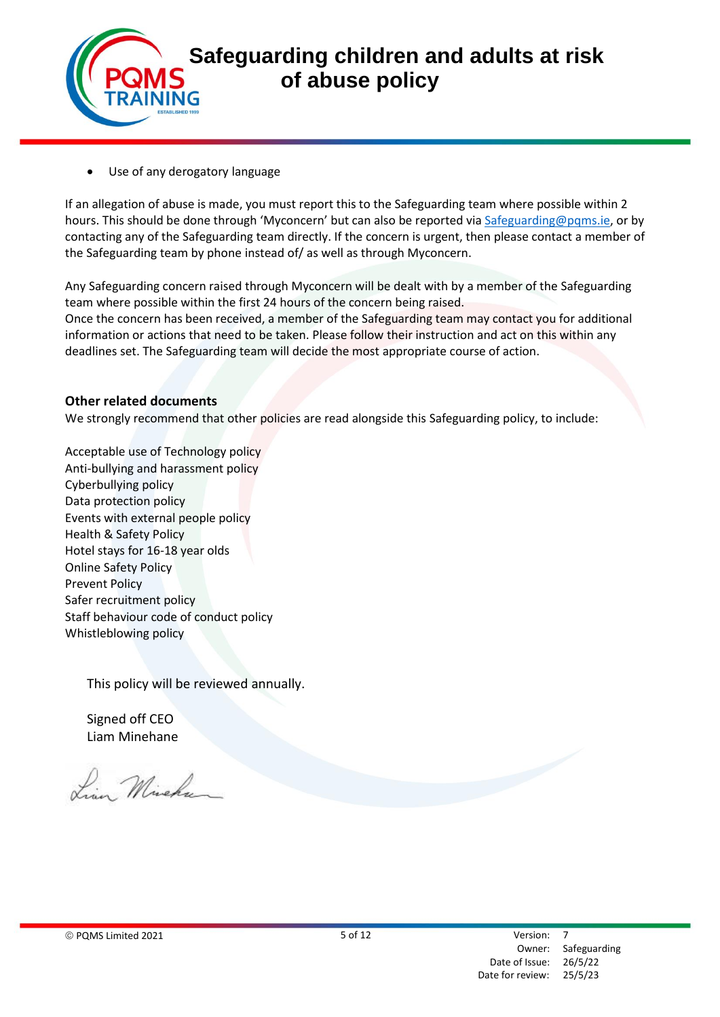

Use of any derogatory language

If an allegation of abuse is made, you must report this to the Safeguarding team where possible within 2 hours. This should be done through 'Myconcern' but can also be reported vi[a Safeguarding@pqms.ie,](mailto:safeguarding@pqms.ie) or by contacting any of the Safeguarding team directly. If the concern is urgent, then please contact a member of the Safeguarding team by phone instead of/ as well as through Myconcern.

Any Safeguarding concern raised through Myconcern will be dealt with by a member of the Safeguarding team where possible within the first 24 hours of the concern being raised.

Once the concern has been received, a member of the Safeguarding team may contact you for additional information or actions that need to be taken. Please follow their instruction and act on this within any deadlines set. The Safeguarding team will decide the most appropriate course of action.

#### **Other related documents**

We strongly recommend that other policies are read alongside this Safeguarding policy, to include:

Acceptable use of Technology policy Anti-bullying and harassment policy Cyberbullying policy Data protection policy Events with external people policy Health & Safety Policy Hotel stays for 16-18 year olds Online Safety Policy Prevent Policy Safer recruitment policy Staff behaviour code of conduct policy Whistleblowing policy

This policy will be reviewed annually.

Signed off CEO Liam Minehane

Lin Michan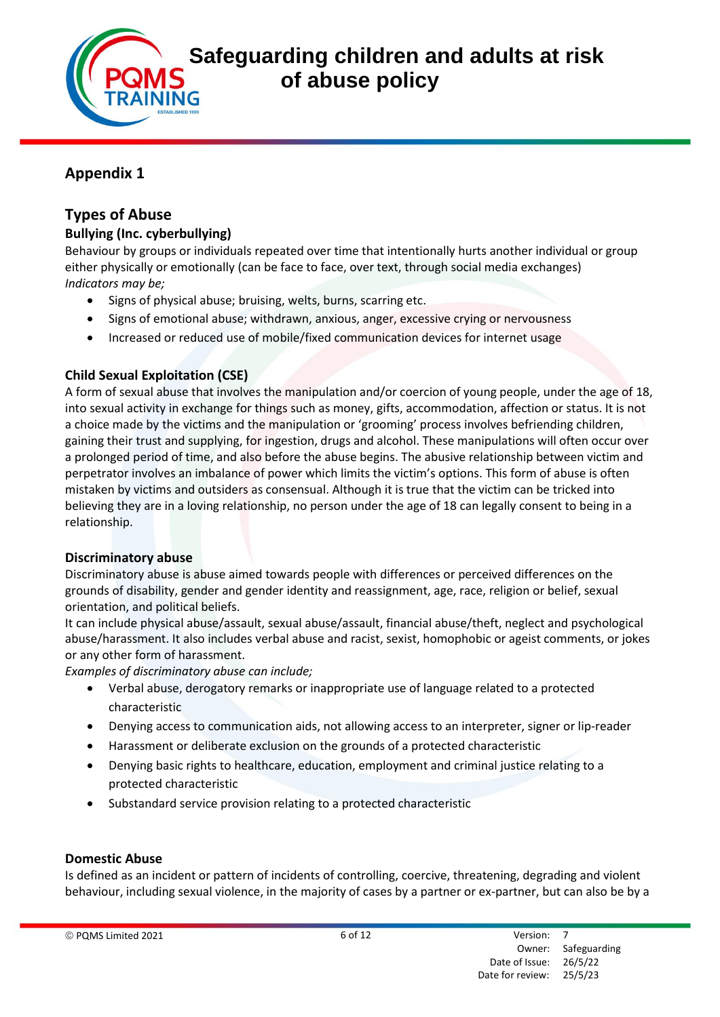

# **Appendix 1**

# **Types of Abuse**

# **Bullying (Inc. cyberbullying)**

Behaviour by groups or individuals repeated over time that intentionally hurts another individual or group either physically or emotionally (can be face to face, over text, through social media exchanges) *Indicators may be;* 

- Signs of physical abuse; bruising, welts, burns, scarring etc.
- Signs of emotional abuse; withdrawn, anxious, anger, excessive crying or nervousness
- Increased or reduced use of mobile/fixed communication devices for internet usage

# **Child Sexual Exploitation (CSE)**

A form of sexual abuse that involves the manipulation and/or coercion of young people, under the age of 18, into sexual activity in exchange for things such as money, gifts, accommodation, affection or status. It is not a choice made by the victims and the manipulation or 'grooming' process involves befriending children, gaining their trust and supplying, for ingestion, drugs and alcohol. These manipulations will often occur over a prolonged period of time, and also before the abuse begins. The abusive relationship between victim and perpetrator involves an imbalance of power which limits the victim's options. This form of abuse is often mistaken by victims and outsiders as consensual. Although it is true that the victim can be tricked into believing they are in a loving relationship, no person under the age of 18 can legally consent to being in a relationship.

# **Discriminatory abuse**

Discriminatory abuse is abuse aimed towards people with differences or perceived differences on the grounds of disability, gender and gender identity and reassignment, age, race, religion or belief, sexual orientation, and political beliefs.

It can include physical abuse/assault, sexual abuse/assault, financial abuse/theft, neglect and psychological abuse/harassment. It also includes verbal abuse and racist, sexist, homophobic or ageist comments, or jokes or any other form of harassment.

*Examples of discriminatory abuse can include;* 

- Verbal abuse, derogatory remarks or inappropriate use of language related to a protected characteristic
- Denying access to communication aids, not allowing access to an interpreter, signer or lip-reader
- Harassment or deliberate exclusion on the grounds of a protected characteristic
- Denying basic rights to healthcare, education, employment and criminal justice relating to a protected characteristic
- Substandard service provision relating to a protected characteristic

# **Domestic Abuse**

Is defined as an incident or pattern of incidents of controlling, coercive, threatening, degrading and violent behaviour, including sexual violence, in the majority of cases by a partner or ex-partner, but can also be by a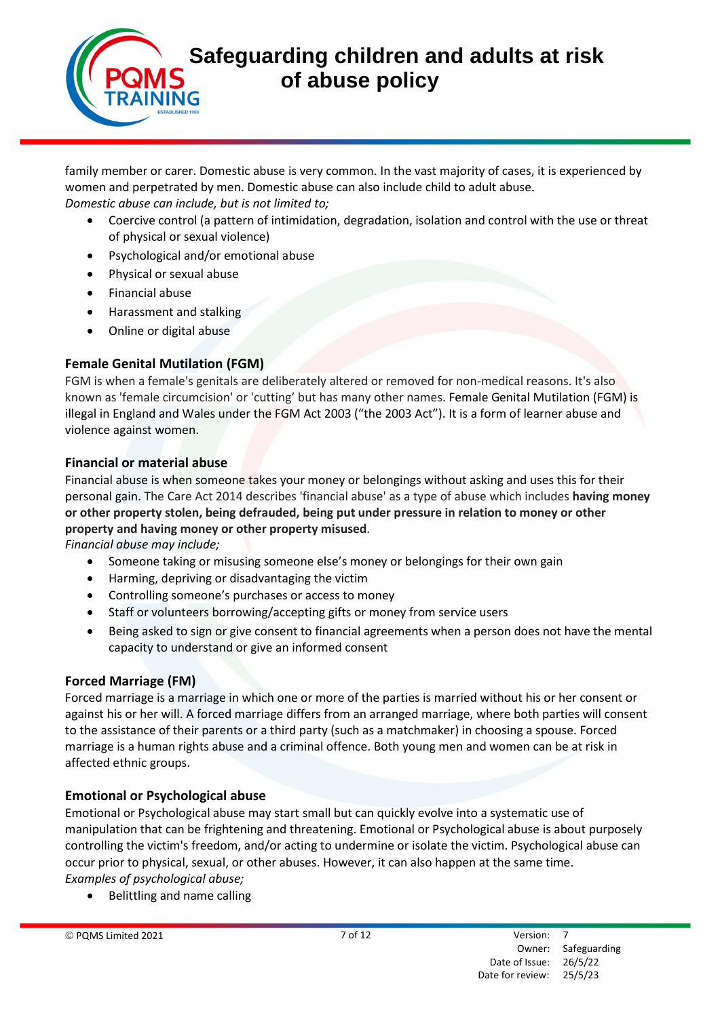family member or carer. Domestic abuse is very common. In the vast majority of cases, it is experienced by women and perpetrated by men. Domestic abuse can also include child to adult abuse. *Domestic abuse can include, but is not limited to;* 

- Coercive control (a pattern of intimidation, degradation, isolation and control with the use or threat of physical or sexual violence)
- Psychological and/or emotional abuse
- Physical or sexual abuse
- Financial abuse
- Harassment and stalking
- Online or digital abuse

# **Female Genital Mutilation (FGM)**

FGM is when a female's genitals are deliberately altered or removed for non-medical reasons. It's also known as 'female circumcision' or 'cutting' but has many other names. Female Genital Mutilation (FGM) is illegal in England and Wales under the FGM Act 2003 ("the 2003 Act"). It is a form of learner abuse and violence against women.

## **Financial or material abuse**

Financial abuse is when someone takes your money or belongings without asking and uses this for their personal gain. The Care Act 2014 describes 'financial abuse' as a type of abuse which includes **having money or other property stolen, being defrauded, being put under pressure in relation to money or other property and having money or other property misused**.

*Financial abuse may include;* 

- Someone taking or misusing someone else's money or belongings for their own gain
- Harming, depriving or disadvantaging the victim
- Controlling someone's purchases or access to money
- Staff or volunteers borrowing/accepting gifts or money from service users
- Being asked to sign or give consent to financial agreements when a person does not have the mental capacity to understand or give an informed consent

## **Forced Marriage (FM)**

Forced marriage is a marriage in which one or more of the parties is married without his or her consent or against his or her will. A forced marriage differs from an arranged marriage, where both parties will consent to the assistance of their parents or a third party (such as a matchmaker) in choosing a spouse. Forced marriage is a human rights abuse and a criminal offence. Both young men and women can be at risk in affected ethnic groups.

## **Emotional or Psychological abuse**

Emotional or Psychological abuse may start small but can quickly evolve into a systematic use of manipulation that can be frightening and threatening. Emotional or Psychological abuse is about purposely controlling the victim's freedom, and/or acting to undermine or isolate the victim. Psychological abuse can occur prior to physical, sexual, or other abuses. However, it can also happen at the same time. *Examples of psychological abuse;* 

• Belittling and name calling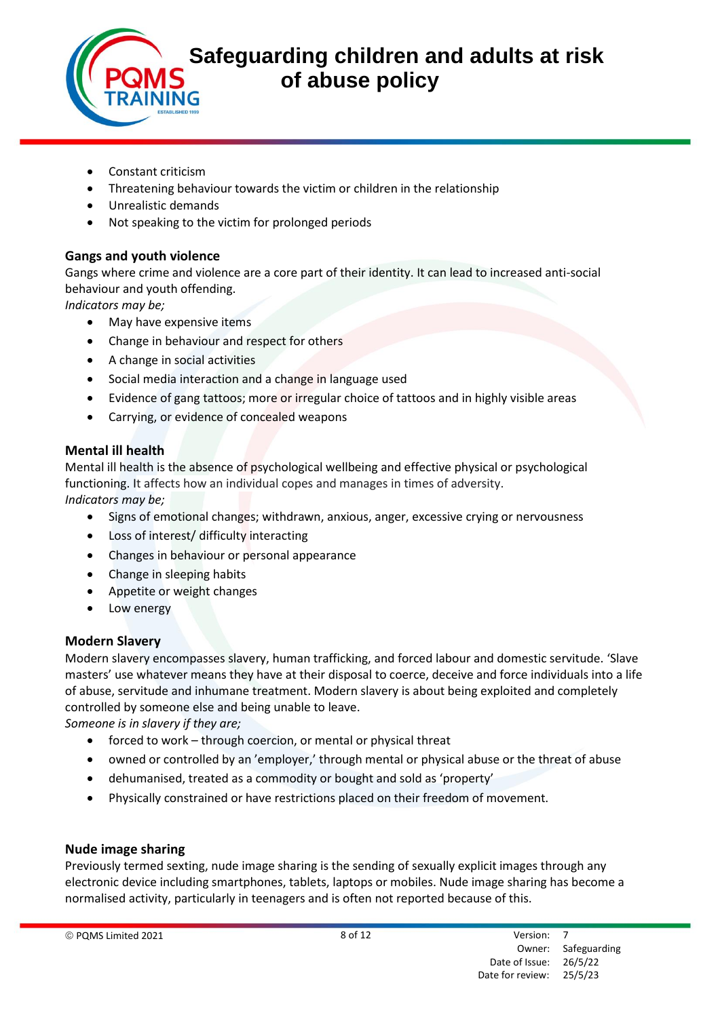- Constant criticism
- Threatening behaviour towards the victim or children in the relationship
- Unrealistic demands
- Not speaking to the victim for prolonged periods

#### **Gangs and youth violence**

Gangs where crime and violence are a core part of their identity. It can lead to increased anti-social behaviour and youth offending.

*Indicators may be;* 

- May have expensive items
- Change in behaviour and respect for others
- A change in social activities
- Social media interaction and a change in language used
- Evidence of gang tattoos; more or irregular choice of tattoos and in highly visible areas
- Carrying, or evidence of concealed weapons

#### **Mental ill health**

Mental ill health is the absence of psychological wellbeing and effective physical or psychological functioning. It affects how an individual copes and manages in times of adversity. *Indicators may be;* 

- Signs of emotional changes; withdrawn, anxious, anger, excessive crying or nervousness
- Loss of interest/ difficulty interacting
- Changes in behaviour or personal appearance
- Change in sleeping habits
- Appetite or weight changes
- Low energy

#### **Modern Slavery**

Modern slavery encompasses slavery, human trafficking, and forced labour and domestic servitude. 'Slave masters' use whatever means they have at their disposal to coerce, deceive and force individuals into a life of abuse, servitude and inhumane treatment. Modern slavery is about being exploited and completely controlled by someone else and being unable to leave.

*Someone is in slavery if they are;* 

- forced to work through coercion, or mental or physical threat
- owned or controlled by an 'employer,' through mental or physical abuse or the threat of abuse
- dehumanised, treated as a commodity or bought and sold as 'property'
- Physically constrained or have restrictions placed on their freedom of movement.

#### **Nude image sharing**

Previously termed sexting, nude image sharing is the sending of sexually explicit images through any electronic device including smartphones, tablets, laptops or mobiles. Nude image sharing has become a normalised activity, particularly in teenagers and is often not reported because of this.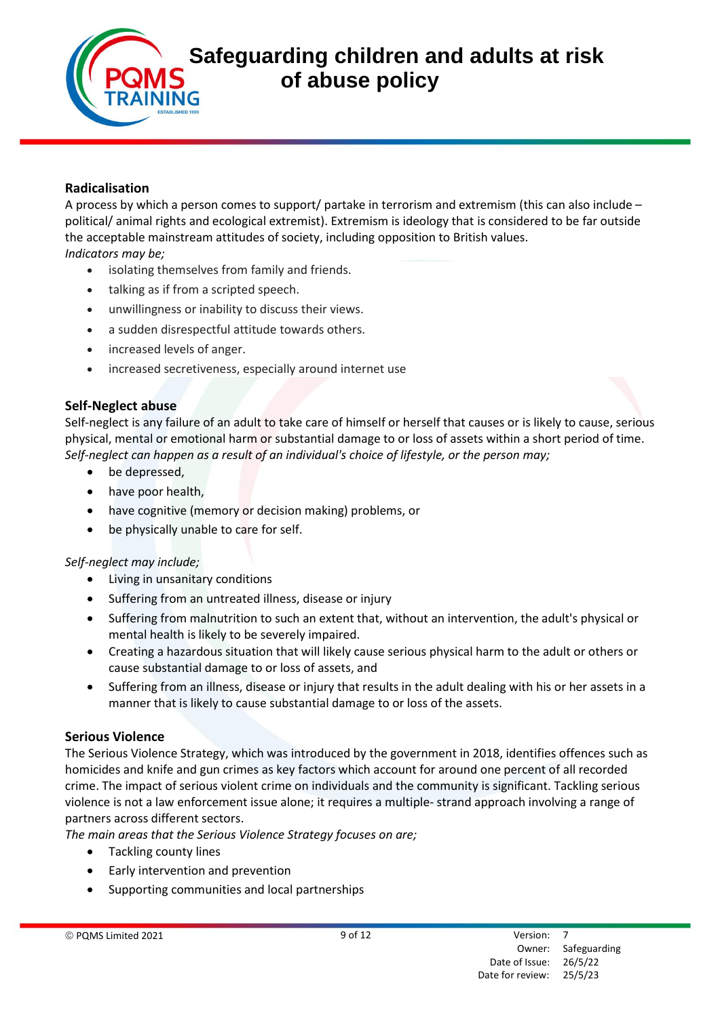#### **Radicalisation**

A process by which a person comes to support/ partake in terrorism and extremism (this can also include – political/ animal rights and ecological extremist). Extremism is ideology that is considered to be far outside the acceptable mainstream attitudes of society, including opposition to British values. *Indicators may be;* 

- isolating themselves from family and friends.
- talking as if from a scripted speech.
- unwillingness or inability to discuss their views.
- a sudden disrespectful attitude towards others.
- increased levels of anger.
- increased secretiveness, especially around internet use

#### **Self-Neglect abuse**

Self-neglect is any failure of an adult to take care of himself or herself that causes or is likely to cause, serious physical, mental or emotional harm or substantial damage to or loss of assets within a short period of time. *Self-neglect can happen as a result of an individual's choice of lifestyle, or the person may;* 

- be depressed,
- have poor health,
- have cognitive (memory or decision making) problems, or
- be physically unable to care for self.

#### *Self-neglect may include;*

- Living in unsanitary conditions
- Suffering from an untreated illness, disease or injury
- Suffering from malnutrition to such an extent that, without an intervention, the adult's physical or mental health is likely to be severely impaired.
- Creating a hazardous situation that will likely cause serious physical harm to the adult or others or cause substantial damage to or loss of assets, and
- Suffering from an illness, disease or injury that results in the adult dealing with his or her assets in a manner that is likely to cause substantial damage to or loss of the assets.

#### **Serious Violence**

The Serious Violence Strategy, which was introduced by the government in 2018, identifies offences such as homicides and knife and gun crimes as key factors which account for around one percent of all recorded crime. The impact of serious violent crime on individuals and the community is significant. Tackling serious violence is not a law enforcement issue alone; it requires a multiple- strand approach involving a range of partners across different sectors.

*The main areas that the Serious Violence Strategy focuses on are;* 

- Tackling county lines
- Early intervention and prevention
- Supporting communities and local partnerships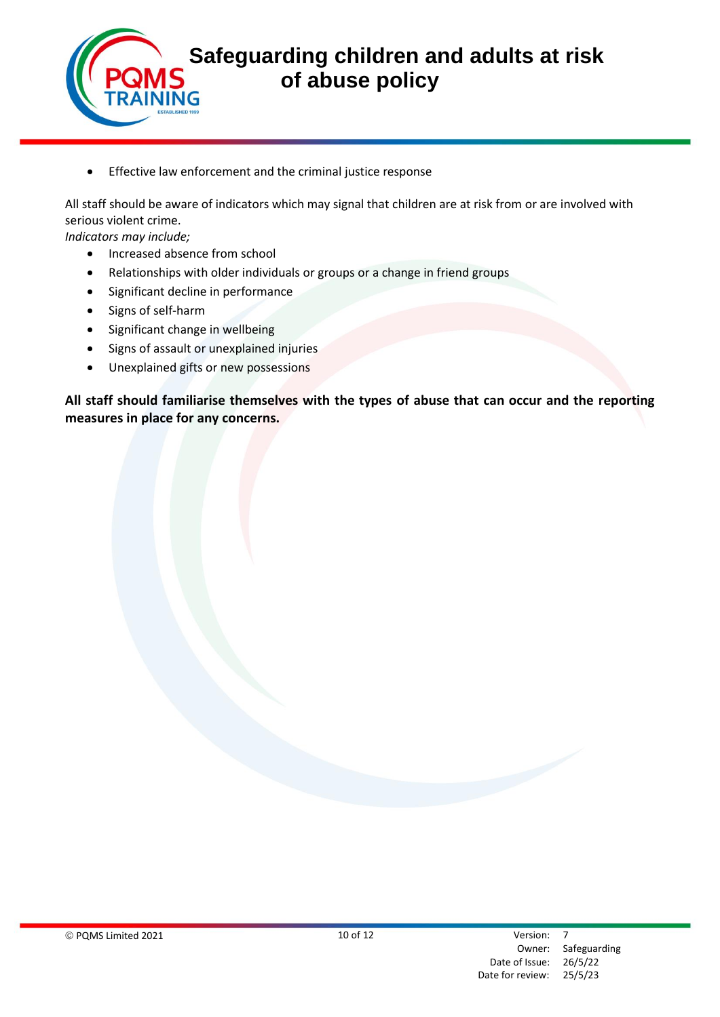

• Effective law enforcement and the criminal justice response

All staff should be aware of indicators which may signal that children are at risk from or are involved with serious violent crime.

*Indicators may include;* 

- Increased absence from school
- Relationships with older individuals or groups or a change in friend groups
- Significant decline in performance
- Signs of self-harm
- Significant change in wellbeing
- Signs of assault or unexplained injuries
- Unexplained gifts or new possessions

**All staff should familiarise themselves with the types of abuse that can occur and the reporting measures in place for any concerns.**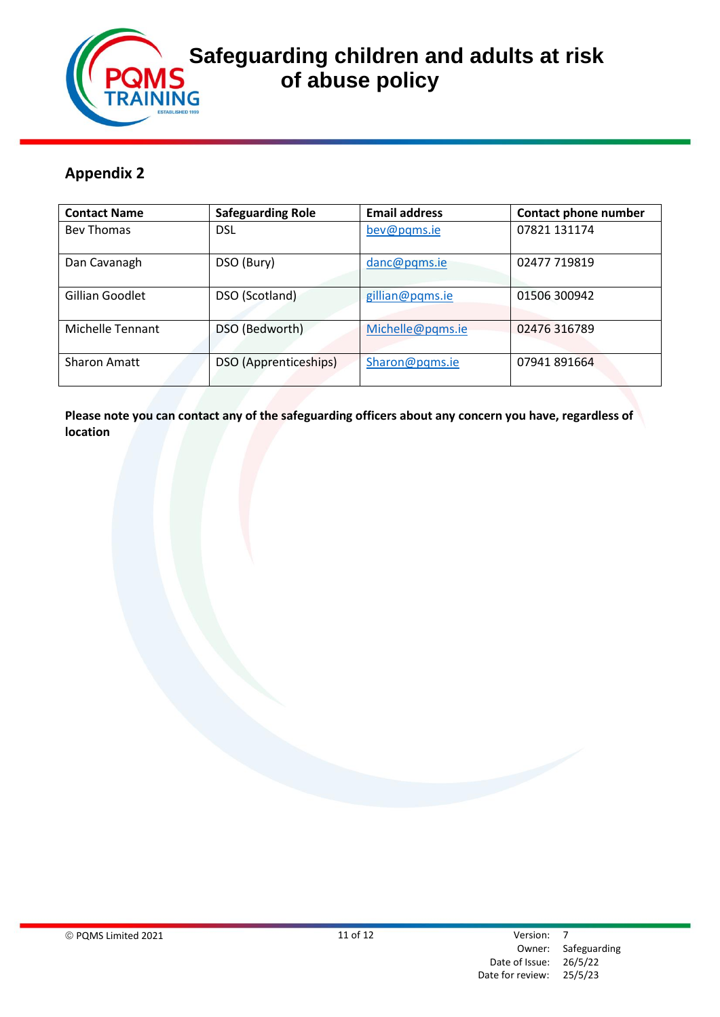

# **Safeguarding children and adults at risk**<br>*s* **of abuse policy of abuse policy**

# **Appendix 2**

| <b>Contact Name</b> | <b>Safeguarding Role</b> | <b>Email address</b> | <b>Contact phone number</b> |
|---------------------|--------------------------|----------------------|-----------------------------|
| <b>Bey Thomas</b>   | <b>DSL</b>               | bev@pqms.ie          | 07821 131174                |
| Dan Cavanagh        | DSO (Bury)               | danc@pqms.ie         | 02477 719819                |
| Gillian Goodlet     | DSO (Scotland)           | gillian@pqms.ie      | 01506 300942                |
| Michelle Tennant    | DSO (Bedworth)           | Michelle@pqms.ie     | 02476 316789                |
| <b>Sharon Amatt</b> | DSO (Apprenticeships)    | Sharon@pqms.ie       | 07941 891664                |

**Please note you can contact any of the safeguarding officers about any concern you have, regardless of location**